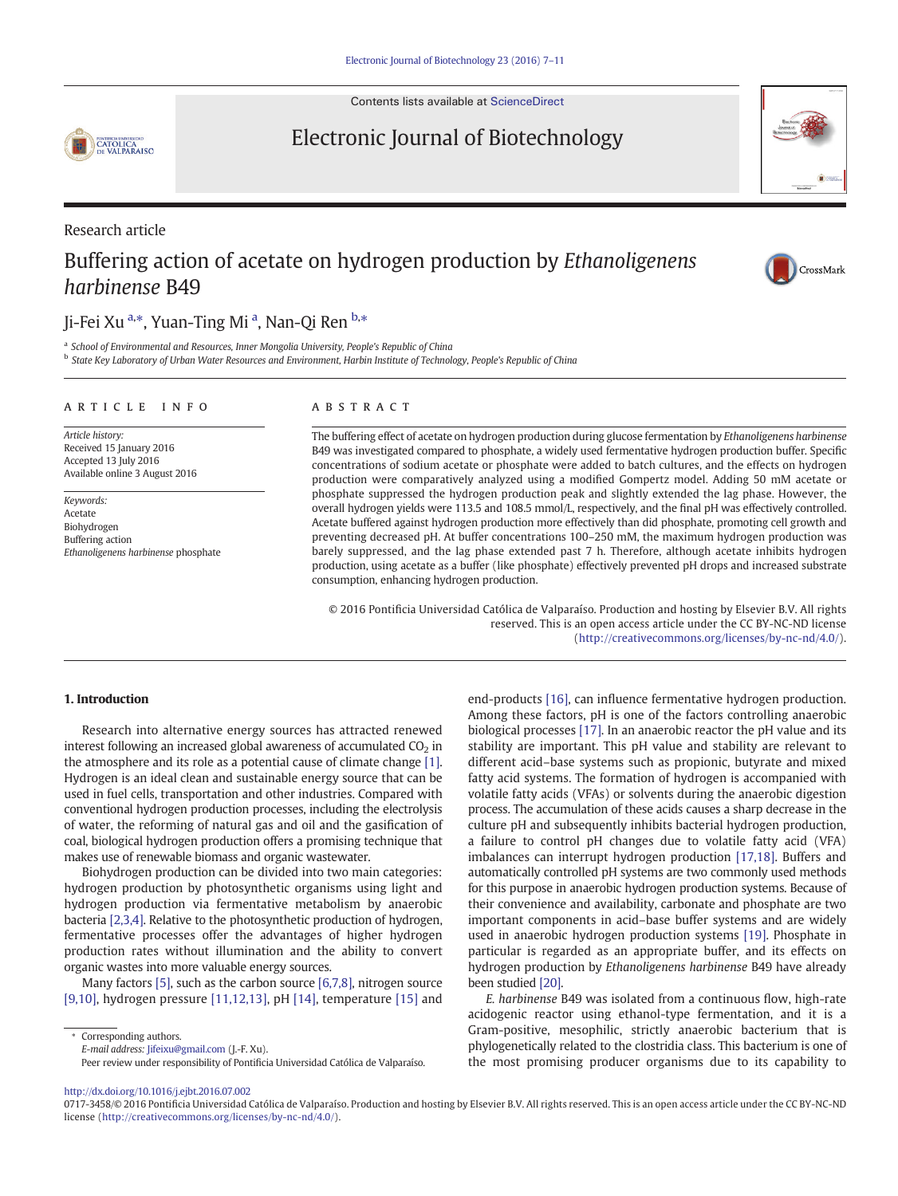Contents lists available at [ScienceDirect](http://www.sciencedirect.com/science/journal/)

Electronic Journal of Biotechnology

# **CATOLICA**<br>CATOLICA<br>DE VALPARAISO

## Research article

## Buffering action of acetate on hydrogen production by Ethanoligenens harbinense B49

## Ji-Fei Xu <sup>a,</sup>\*, Yuan-Ting Mi <sup>a</sup>, Nan-Qi Ren <sup>b,</sup>\*

<sup>a</sup> School of Environmental and Resources, Inner Mongolia University, People's Republic of China

<sup>b</sup> State Key Laboratory of Urban Water Resources and Environment, Harbin Institute of Technology, People's Republic of China

#### article info abstract

Article history: Received 15 January 2016 Accepted 13 July 2016 Available online 3 August 2016

Keywords: Acetate Biohydrogen Buffering action Ethanoligenens harbinense phosphate

The buffering effect of acetate on hydrogen production during glucose fermentation by Ethanoligenens harbinense B49 was investigated compared to phosphate, a widely used fermentative hydrogen production buffer. Specific concentrations of sodium acetate or phosphate were added to batch cultures, and the effects on hydrogen production were comparatively analyzed using a modified Gompertz model. Adding 50 mM acetate or phosphate suppressed the hydrogen production peak and slightly extended the lag phase. However, the overall hydrogen yields were 113.5 and 108.5 mmol/L, respectively, and the final pH was effectively controlled. Acetate buffered against hydrogen production more effectively than did phosphate, promoting cell growth and preventing decreased pH. At buffer concentrations 100–250 mM, the maximum hydrogen production was barely suppressed, and the lag phase extended past 7 h. Therefore, although acetate inhibits hydrogen production, using acetate as a buffer (like phosphate) effectively prevented pH drops and increased substrate consumption, enhancing hydrogen production.

© 2016 Pontificia Universidad Católica de Valparaíso. Production and hosting by Elsevier B.V. All rights reserved. This is an open access article under the CC BY-NC-ND license ([http://creativecommons.org/licenses/by-nc-nd/4.0/\)](http://creativecommons.org/licenses/by-nc-nd/4.0/).

#### 1. Introduction

Research into alternative energy sources has attracted renewed interest following an increased global awareness of accumulated  $CO<sub>2</sub>$  in the atmosphere and its role as a potential cause of climate change [\[1\].](#page-3-0) Hydrogen is an ideal clean and sustainable energy source that can be used in fuel cells, transportation and other industries. Compared with conventional hydrogen production processes, including the electrolysis of water, the reforming of natural gas and oil and the gasification of coal, biological hydrogen production offers a promising technique that makes use of renewable biomass and organic wastewater.

Biohydrogen production can be divided into two main categories: hydrogen production by photosynthetic organisms using light and hydrogen production via fermentative metabolism by anaerobic bacteria [\[2,3,4\]](#page-3-0). Relative to the photosynthetic production of hydrogen, fermentative processes offer the advantages of higher hydrogen production rates without illumination and the ability to convert organic wastes into more valuable energy sources.

Many factors [\[5\]](#page-3-0), such as the carbon source [\[6,7,8\],](#page-3-0) nitrogen source [\[9,10\]](#page-3-0), hydrogen pressure [\[11,12,13\]](#page-4-0), pH [\[14\],](#page-4-0) temperature [\[15\]](#page-4-0) and

⁎ Corresponding authors.

Peer review under responsibility of Pontificia Universidad Católica de Valparaíso.

<http://dx.doi.org/10.1016/j.ejbt.2016.07.002>



E. harbinense B49 was isolated from a continuous flow, high-rate acidogenic reactor using ethanol-type fermentation, and it is a Gram-positive, mesophilic, strictly anaerobic bacterium that is phylogenetically related to the clostridia class. This bacterium is one of the most promising producer organisms due to its capability to





E-mail address: [Jifeixu@gmail.com](mailto:Jifeixu@gmail.com) (J.-F. Xu).

<sup>0717-3458/© 2016</sup> Pontificia Universidad Católica de Valparaíso. Production and hosting by Elsevier B.V. All rights reserved. This is an open access article under the CC BY-NC-ND license ([http://creativecommons.org/licenses/by-nc-nd/4.0/\)](http://creativecommons.org/licenses/by-nc-nd/4.0/).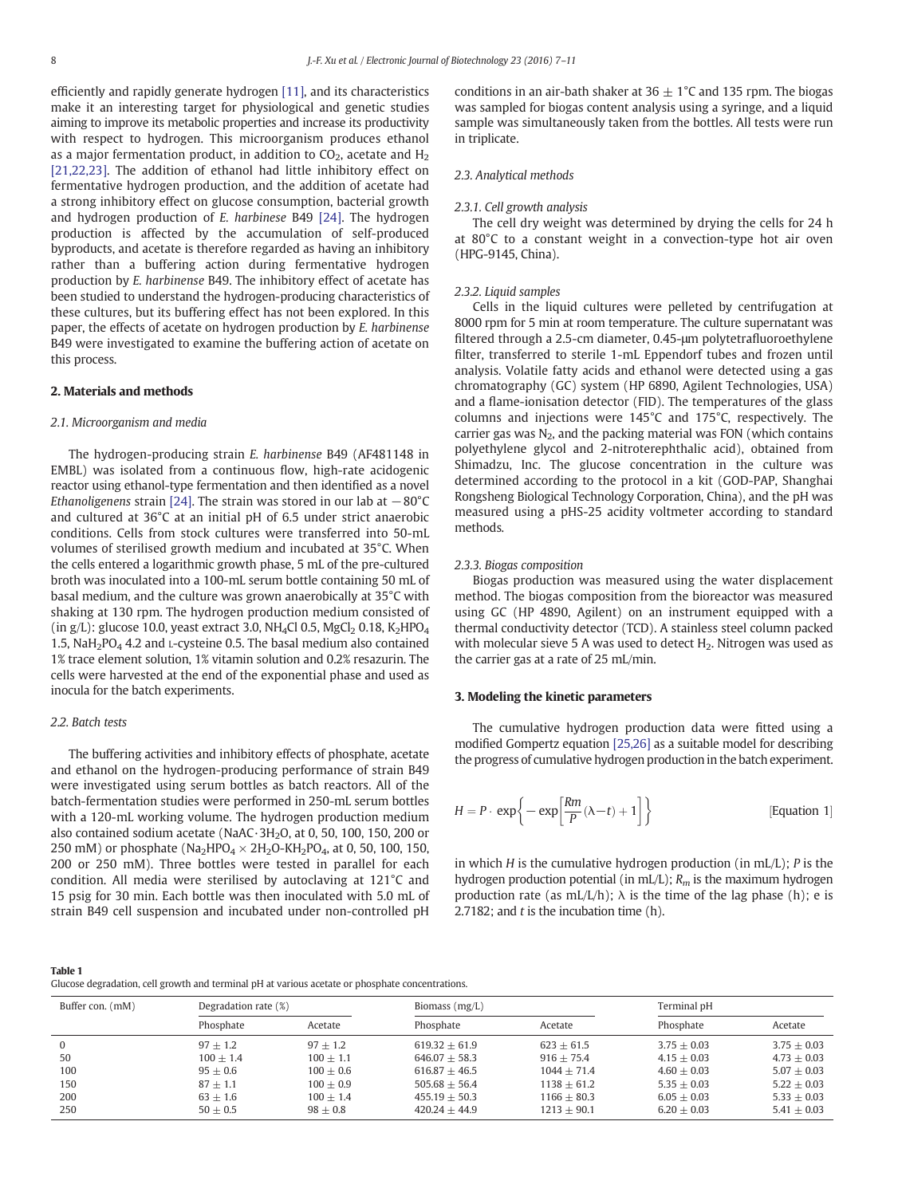<span id="page-1-0"></span>efficiently and rapidly generate hydrogen [\[11\],](#page-4-0) and its characteristics make it an interesting target for physiological and genetic studies aiming to improve its metabolic properties and increase its productivity with respect to hydrogen. This microorganism produces ethanol as a major fermentation product, in addition to  $CO<sub>2</sub>$ , acetate and  $H<sub>2</sub>$ [\[21,22,23\]](#page-4-0). The addition of ethanol had little inhibitory effect on fermentative hydrogen production, and the addition of acetate had a strong inhibitory effect on glucose consumption, bacterial growth and hydrogen production of E. harbinese B49 [\[24\].](#page-4-0) The hydrogen production is affected by the accumulation of self-produced byproducts, and acetate is therefore regarded as having an inhibitory rather than a buffering action during fermentative hydrogen production by E. harbinense B49. The inhibitory effect of acetate has been studied to understand the hydrogen-producing characteristics of these cultures, but its buffering effect has not been explored. In this paper, the effects of acetate on hydrogen production by E. harbinense B49 were investigated to examine the buffering action of acetate on this process.

### 2. Materials and methods

#### 2.1. Microorganism and media

The hydrogen-producing strain E. harbinense B49 (AF481148 in EMBL) was isolated from a continuous flow, high-rate acidogenic reactor using ethanol-type fermentation and then identified as a novel Ethanoligenens strain [\[24\]](#page-4-0). The strain was stored in our lab at  $-80^{\circ}$ C and cultured at 36°C at an initial pH of 6.5 under strict anaerobic conditions. Cells from stock cultures were transferred into 50-mL volumes of sterilised growth medium and incubated at 35°C. When the cells entered a logarithmic growth phase, 5 mL of the pre-cultured broth was inoculated into a 100-mL serum bottle containing 50 mL of basal medium, and the culture was grown anaerobically at 35°C with shaking at 130 rpm. The hydrogen production medium consisted of (in  $g/L$ ): glucose 10.0, yeast extract 3.0, NH<sub>4</sub>Cl 0.5, MgCl<sub>2</sub> 0.18, K<sub>2</sub>HPO<sub>4</sub> 1.5, NaH<sub>2</sub>PO<sub>4</sub> 4.2 and L-cysteine 0.5. The basal medium also contained 1% trace element solution, 1% vitamin solution and 0.2% resazurin. The cells were harvested at the end of the exponential phase and used as inocula for the batch experiments.

#### 2.2. Batch tests

The buffering activities and inhibitory effects of phosphate, acetate and ethanol on the hydrogen-producing performance of strain B49 were investigated using serum bottles as batch reactors. All of the batch-fermentation studies were performed in 250-mL serum bottles with a 120-mL working volume. The hydrogen production medium also contained sodium acetate (NaAC·3H<sub>2</sub>O, at 0, 50, 100, 150, 200 or 250 mM) or phosphate (Na<sub>2</sub>HPO<sub>4</sub>  $\times$  2H<sub>2</sub>O-KH<sub>2</sub>PO<sub>4</sub>, at 0, 50, 100, 150, 200 or 250 mM). Three bottles were tested in parallel for each condition. All media were sterilised by autoclaving at 121°C and 15 psig for 30 min. Each bottle was then inoculated with 5.0 mL of strain B49 cell suspension and incubated under non-controlled pH

conditions in an air-bath shaker at  $36 \pm 1^{\circ}$ C and 135 rpm. The biogas was sampled for biogas content analysis using a syringe, and a liquid sample was simultaneously taken from the bottles. All tests were run in triplicate.

#### 2.3. Analytical methods

#### 2.3.1. Cell growth analysis

The cell dry weight was determined by drying the cells for 24 h at 80°C to a constant weight in a convection-type hot air oven (HPG-9145, China).

#### 2.3.2. Liquid samples

Cells in the liquid cultures were pelleted by centrifugation at 8000 rpm for 5 min at room temperature. The culture supernatant was filtered through a 2.5-cm diameter, 0.45-μm polytetrafluoroethylene filter, transferred to sterile 1-mL Eppendorf tubes and frozen until analysis. Volatile fatty acids and ethanol were detected using a gas chromatography (GC) system (HP 6890, Agilent Technologies, USA) and a flame-ionisation detector (FID). The temperatures of the glass columns and injections were 145°C and 175°C, respectively. The carrier gas was  $N_2$ , and the packing material was FON (which contains polyethylene glycol and 2-nitroterephthalic acid), obtained from Shimadzu, Inc. The glucose concentration in the culture was determined according to the protocol in a kit (GOD-PAP, Shanghai Rongsheng Biological Technology Corporation, China), and the pH was measured using a pHS-25 acidity voltmeter according to standard methods.

#### 2.3.3. Biogas composition

Biogas production was measured using the water displacement method. The biogas composition from the bioreactor was measured using GC (HP 4890, Agilent) on an instrument equipped with a thermal conductivity detector (TCD). A stainless steel column packed with molecular sieve 5 A was used to detect  $H_2$ . Nitrogen was used as the carrier gas at a rate of 25 mL/min.

#### 3. Modeling the kinetic parameters

The cumulative hydrogen production data were fitted using a modified Gompertz equation [\[25,26\]](#page-4-0) as a suitable model for describing the progress of cumulative hydrogen production in the batch experiment.

$$
H = P \cdot \exp\left\{-\exp\left[\frac{Rm}{P}(\lambda - t) + 1\right]\right\}
$$
 [Equation 1]

in which  $H$  is the cumulative hydrogen production (in mL/L);  $P$  is the hydrogen production potential (in mL/L);  $R_m$  is the maximum hydrogen production rate (as mL/L/h);  $\lambda$  is the time of the lag phase (h); e is 2.7182; and  $t$  is the incubation time  $(h)$ .

Glucose degradation, cell growth and terminal pH at various acetate or phosphate concentrations.

| Buffer con. (mM) | Degradation rate (%) |             | Biomass $(mg/L)$ |               | Terminal pH   |               |
|------------------|----------------------|-------------|------------------|---------------|---------------|---------------|
|                  | Phosphate            | Acetate     | Phosphate        | Acetate       | Phosphate     | Acetate       |
| $\Omega$         | $97 + 1.2$           | $97 + 1.2$  | $619.32 + 61.9$  | $623 + 61.5$  | $3.75 + 0.03$ | $3.75 + 0.03$ |
| 50               | $100 + 1.4$          | $100 + 1.1$ | $646.07 + 58.3$  | $916 + 75.4$  | $4.15 + 0.03$ | $4.73 + 0.03$ |
| 100              | $95 + 0.6$           | $100 + 0.6$ | $616.87 + 46.5$  | $1044 + 71.4$ | $4.60 + 0.03$ | $5.07 + 0.03$ |
| 150              | $87 + 1.1$           | $100 + 0.9$ | $505.68 + 56.4$  | $1138 + 61.2$ | $5.35 + 0.03$ | $5.22 + 0.03$ |
| 200              | $63 + 1.6$           | $100 + 1.4$ | $455.19 + 50.3$  | $1166 + 80.3$ | $6.05 + 0.03$ | $5.33 + 0.03$ |
| 250              | $50 + 0.5$           | $98 + 0.8$  | $420.24 + 44.9$  | $1213 + 90.1$ | $6.20 + 0.03$ | $5.41 + 0.03$ |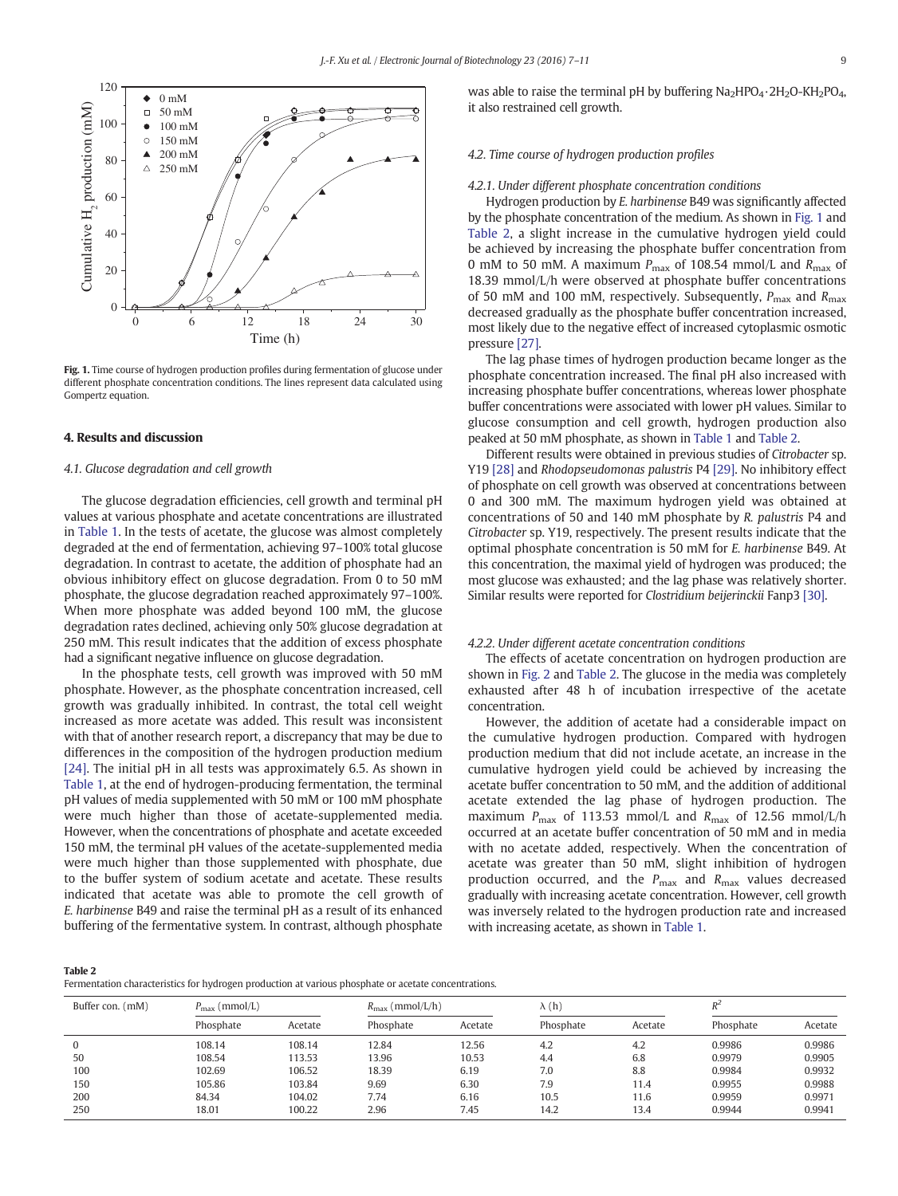

Fig. 1. Time course of hydrogen production profiles during fermentation of glucose under different phosphate concentration conditions. The lines represent data calculated using Gompertz equation.

#### 4. Results and discussion

#### 4.1. Glucose degradation and cell growth

The glucose degradation efficiencies, cell growth and terminal pH values at various phosphate and acetate concentrations are illustrated in [Table 1](#page-1-0). In the tests of acetate, the glucose was almost completely degraded at the end of fermentation, achieving 97–100% total glucose degradation. In contrast to acetate, the addition of phosphate had an obvious inhibitory effect on glucose degradation. From 0 to 50 mM phosphate, the glucose degradation reached approximately 97–100%. When more phosphate was added beyond 100 mM, the glucose degradation rates declined, achieving only 50% glucose degradation at 250 mM. This result indicates that the addition of excess phosphate had a significant negative influence on glucose degradation.

In the phosphate tests, cell growth was improved with 50 mM phosphate. However, as the phosphate concentration increased, cell growth was gradually inhibited. In contrast, the total cell weight increased as more acetate was added. This result was inconsistent with that of another research report, a discrepancy that may be due to differences in the composition of the hydrogen production medium [\[24\]](#page-4-0). The initial pH in all tests was approximately 6.5. As shown in [Table 1,](#page-1-0) at the end of hydrogen-producing fermentation, the terminal pH values of media supplemented with 50 mM or 100 mM phosphate were much higher than those of acetate-supplemented media. However, when the concentrations of phosphate and acetate exceeded 150 mM, the terminal pH values of the acetate-supplemented media were much higher than those supplemented with phosphate, due to the buffer system of sodium acetate and acetate. These results indicated that acetate was able to promote the cell growth of E. harbinense B49 and raise the terminal pH as a result of its enhanced buffering of the fermentative system. In contrast, although phosphate

was able to raise the terminal pH by buffering  $Na<sub>2</sub>HPO<sub>4</sub>·2H<sub>2</sub>O-KH<sub>2</sub>PO<sub>4</sub>$ , it also restrained cell growth.

#### 4.2. Time course of hydrogen production profiles

#### 4.2.1. Under different phosphate concentration conditions

Hydrogen production by E. harbinense B49 was significantly affected by the phosphate concentration of the medium. As shown in Fig. 1 and Table 2, a slight increase in the cumulative hydrogen yield could be achieved by increasing the phosphate buffer concentration from 0 mM to 50 mM. A maximum  $P_{\text{max}}$  of 108.54 mmol/L and  $R_{\text{max}}$  of 18.39 mmol/L/h were observed at phosphate buffer concentrations of 50 mM and 100 mM, respectively. Subsequently,  $P_{\text{max}}$  and  $R_{\text{max}}$ decreased gradually as the phosphate buffer concentration increased, most likely due to the negative effect of increased cytoplasmic osmotic pressure [\[27\]](#page-4-0).

The lag phase times of hydrogen production became longer as the phosphate concentration increased. The final pH also increased with increasing phosphate buffer concentrations, whereas lower phosphate buffer concentrations were associated with lower pH values. Similar to glucose consumption and cell growth, hydrogen production also peaked at 50 mM phosphate, as shown in [Table 1](#page-1-0) and Table 2.

Different results were obtained in previous studies of Citrobacter sp. Y19 [\[28\]](#page-4-0) and Rhodopseudomonas palustris P4 [\[29\].](#page-4-0) No inhibitory effect of phosphate on cell growth was observed at concentrations between 0 and 300 mM. The maximum hydrogen yield was obtained at concentrations of 50 and 140 mM phosphate by R. palustris P4 and Citrobacter sp. Y19, respectively. The present results indicate that the optimal phosphate concentration is 50 mM for E. harbinense B49. At this concentration, the maximal yield of hydrogen was produced; the most glucose was exhausted; and the lag phase was relatively shorter. Similar results were reported for Clostridium beijerinckii Fanp3 [\[30\]](#page-4-0).

#### 4.2.2. Under different acetate concentration conditions

The effects of acetate concentration on hydrogen production are shown in [Fig. 2](#page-3-0) and Table 2. The glucose in the media was completely exhausted after 48 h of incubation irrespective of the acetate concentration.

However, the addition of acetate had a considerable impact on the cumulative hydrogen production. Compared with hydrogen production medium that did not include acetate, an increase in the cumulative hydrogen yield could be achieved by increasing the acetate buffer concentration to 50 mM, and the addition of additional acetate extended the lag phase of hydrogen production. The maximum  $P_{\text{max}}$  of 113.53 mmol/L and  $R_{\text{max}}$  of 12.56 mmol/L/h occurred at an acetate buffer concentration of 50 mM and in media with no acetate added, respectively. When the concentration of acetate was greater than 50 mM, slight inhibition of hydrogen production occurred, and the  $P_{\text{max}}$  and  $R_{\text{max}}$  values decreased gradually with increasing acetate concentration. However, cell growth was inversely related to the hydrogen production rate and increased with increasing acetate, as shown in [Table 1.](#page-1-0)

#### Table 2

Fermentation characteristics for hydrogen production at various phosphate or acetate concentrations.

| Buffer con. (mM) | $P_{\text{max}}$ (mmol/L) |         | $R_{\text{max}}$ (mmol/L/h) |         | $\lambda(h)$ |         | $R^2$     |         |
|------------------|---------------------------|---------|-----------------------------|---------|--------------|---------|-----------|---------|
|                  | Phosphate                 | Acetate | Phosphate                   | Acetate | Phosphate    | Acetate | Phosphate | Acetate |
|                  | 108.14                    | 108.14  | 12.84                       | 12.56   | 4.2          | 4.2     | 0.9986    | 0.9986  |
| 50               | 108.54                    | 113.53  | 13.96                       | 10.53   | 4.4          | 6.8     | 0.9979    | 0.9905  |
| 100              | 102.69                    | 106.52  | 18.39                       | 6.19    | 7.0          | 8.8     | 0.9984    | 0.9932  |
| 150              | 105.86                    | 103.84  | 9.69                        | 6.30    | 7.9          | 11.4    | 0.9955    | 0.9988  |
| 200              | 84.34                     | 104.02  | 7.74                        | 6.16    | 10.5         | 11.6    | 0.9959    | 0.9971  |
| 250              | 18.01                     | 100.22  | 2.96                        | 7.45    | 14.2         | 13.4    | 0.9944    | 0.9941  |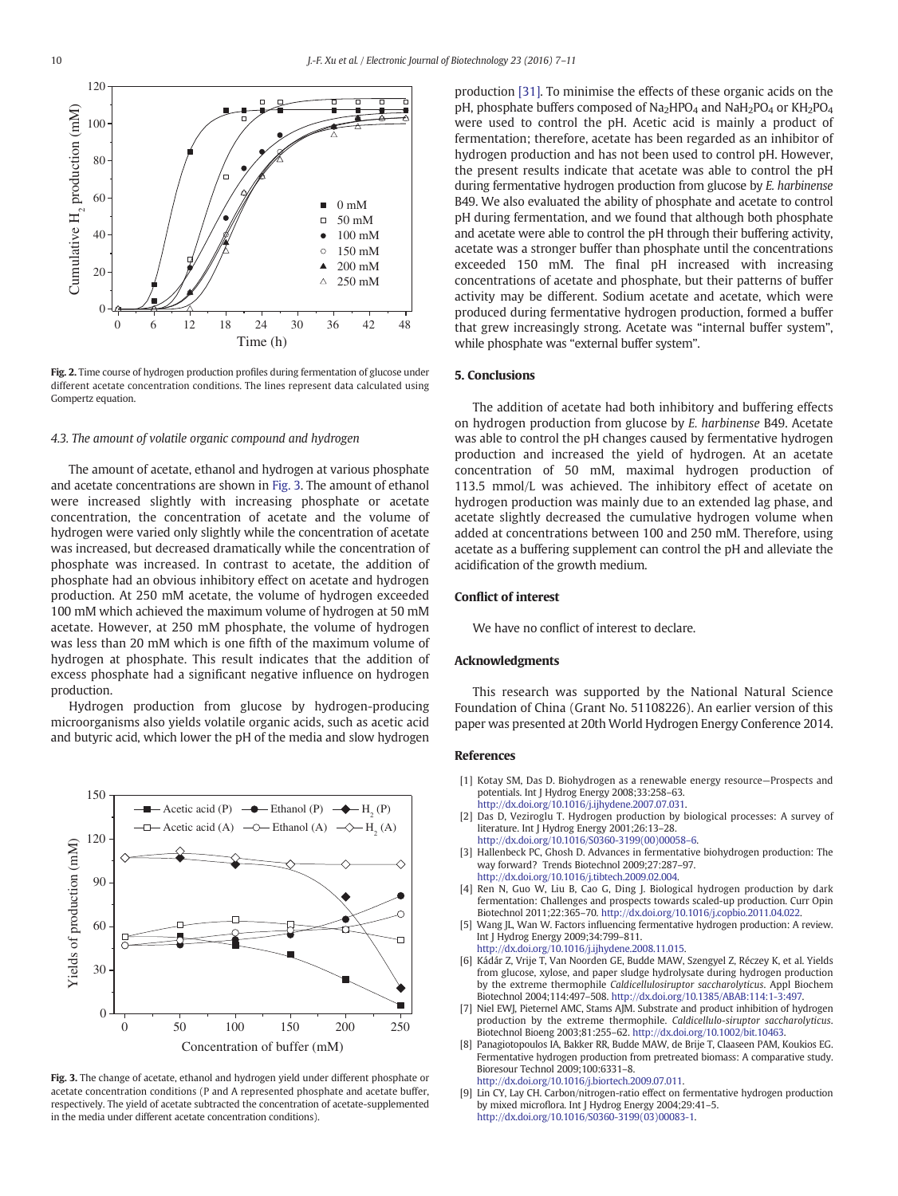<span id="page-3-0"></span>

Fig. 2. Time course of hydrogen production profiles during fermentation of glucose under different acetate concentration conditions. The lines represent data calculated using Gompertz equation.

#### 4.3. The amount of volatile organic compound and hydrogen

The amount of acetate, ethanol and hydrogen at various phosphate and acetate concentrations are shown in Fig. 3. The amount of ethanol were increased slightly with increasing phosphate or acetate concentration, the concentration of acetate and the volume of hydrogen were varied only slightly while the concentration of acetate was increased, but decreased dramatically while the concentration of phosphate was increased. In contrast to acetate, the addition of phosphate had an obvious inhibitory effect on acetate and hydrogen production. At 250 mM acetate, the volume of hydrogen exceeded 100 mM which achieved the maximum volume of hydrogen at 50 mM acetate. However, at 250 mM phosphate, the volume of hydrogen was less than 20 mM which is one fifth of the maximum volume of hydrogen at phosphate. This result indicates that the addition of excess phosphate had a significant negative influence on hydrogen production.

Hydrogen production from glucose by hydrogen-producing microorganisms also yields volatile organic acids, such as acetic acid and butyric acid, which lower the pH of the media and slow hydrogen



Fig. 3. The change of acetate, ethanol and hydrogen yield under different phosphate or acetate concentration conditions (P and A represented phosphate and acetate buffer, respectively. The yield of acetate subtracted the concentration of acetate-supplemented in the media under different acetate concentration conditions).

production [\[31\]](#page-4-0). To minimise the effects of these organic acids on the pH, phosphate buffers composed of  $Na<sub>2</sub>HPO<sub>4</sub>$  and  $NaH<sub>2</sub>PO<sub>4</sub>$  or  $KH<sub>2</sub>PO<sub>4</sub>$ were used to control the pH. Acetic acid is mainly a product of fermentation; therefore, acetate has been regarded as an inhibitor of hydrogen production and has not been used to control pH. However, the present results indicate that acetate was able to control the pH during fermentative hydrogen production from glucose by E. harbinense B49. We also evaluated the ability of phosphate and acetate to control pH during fermentation, and we found that although both phosphate and acetate were able to control the pH through their buffering activity, acetate was a stronger buffer than phosphate until the concentrations exceeded 150 mM. The final pH increased with increasing concentrations of acetate and phosphate, but their patterns of buffer activity may be different. Sodium acetate and acetate, which were produced during fermentative hydrogen production, formed a buffer that grew increasingly strong. Acetate was "internal buffer system", while phosphate was "external buffer system".

#### 5. Conclusions

The addition of acetate had both inhibitory and buffering effects on hydrogen production from glucose by E. harbinense B49. Acetate was able to control the pH changes caused by fermentative hydrogen production and increased the yield of hydrogen. At an acetate concentration of 50 mM, maximal hydrogen production of 113.5 mmol/L was achieved. The inhibitory effect of acetate on hydrogen production was mainly due to an extended lag phase, and acetate slightly decreased the cumulative hydrogen volume when added at concentrations between 100 and 250 mM. Therefore, using acetate as a buffering supplement can control the pH and alleviate the acidification of the growth medium.

#### Conflict of interest

We have no conflict of interest to declare.

#### Acknowledgments

This research was supported by the National Natural Science Foundation of China (Grant No. 51108226). An earlier version of this paper was presented at 20th World Hydrogen Energy Conference 2014.

#### References

- [1] Kotay SM, Das D. Biohydrogen as a renewable energy resource—Prospects and potentials. Int J Hydrog Energy 2008;33:258–63. http://dx.doi.org/10.1016/j.ijhydene.2007.07.031.
- [2] Das D, Veziroglu T. Hydrogen production by biological processes: A survey of literature. Int J Hydrog Energy 2001;26:13–28.
- http://dx.doi.org/10.1016/S0360-3199(00)00058–6. [3] Hallenbeck PC, Ghosh D. Advances in fermentative biohydrogen production: The way forward? Trends Biotechnol 2009;27:287–97. http://dx.doi.org/10.1016/j.tibtech.2009.02.004.
- [4] Ren N, Guo W, Liu B, Cao G, Ding J. Biological hydrogen production by dark fermentation: Challenges and prospects towards scaled-up production. Curr Opin Biotechnol 2011;22:365–70. [http://dx.doi.org/10.1016/j.copbio.2011.04.022.](http://dx.doi.org/10.1016/j.copbio.2011.04.022)
- Wang JL, Wan W. Factors influencing fermentative hydrogen production: A review. Int J Hydrog Energy 2009;34:799–811. http://dx.doi.org/10.1016/j.ijhydene.2008.11.015.
- [6] Kádár Z, Vrije T, Van Noorden GE, Budde MAW, Szengyel Z, Réczey K, et al. Yields from glucose, xylose, and paper sludge hydrolysate during hydrogen production by the extreme thermophile Caldicellulosiruptor saccharolyticus. Appl Biochem Biotechnol 2004;114:497–508. <http://dx.doi.org/10.1385/ABAB:114:1-3:497>.
- [7] Niel EWJ, Pieternel AMC, Stams AJM. Substrate and product inhibition of hydrogen production by the extreme thermophile. Caldicellulo-siruptor saccharolyticus. Biotechnol Bioeng 2003;81:255–62. <http://dx.doi.org/10.1002/bit.10463>.
- [8] Panagiotopoulos IA, Bakker RR, Budde MAW, de Brije T, Claaseen PAM, Koukios EG. Fermentative hydrogen production from pretreated biomass: A comparative study. Bioresour Technol 2009;100:6331–8. http://dx.doi.org/10.1016/j.biortech.2009.07.011.
- [9] Lin CY, Lay CH. Carbon/nitrogen-ratio effect on fermentative hydrogen production by mixed microflora. Int J Hydrog Energy 2004;29:41–5. http://dx.doi.org/10.1016/S0360-3199(03)00083-1.